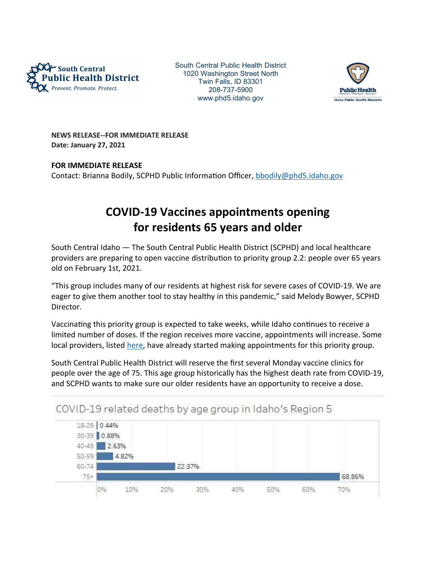

South Central Public Health District 1020 Washington Street North Twin Falls, ID 83301 208-737-5900 www.phd5.idaho.gov



NEWS RELEASE--FOR IMMEDIATE RELEASE Date: January 27, 2021

## FOR IMMEDIATE RELEASE

Contact: Brianna Bodily, SCPHD Public Information Officer, bbodily@phd5.idaho.gov

## COVID-19 Vaccines appointments opening for residents 65 years and older

South Central Idaho — The South Central Public Health District (SCPHD) and local healthcare providers are preparing to open vaccine distribution to priority group 2.2: people over 65 years old on February 1st, 2021.

"This group includes many of our residents at highest risk for severe cases of COVID-19. We are eager to give them another tool to stay healthy in this pandemic," said Melody Bowyer, SCPHD Director.

Vaccinating this priority group is expected to take weeks, while Idaho continues to receive a limited number of doses. If the region receives more vaccine, appointments will increase. Some local providers, listed here, have already started making appointments for this priority group.

South Central Public Health District will reserve the first several Monday vaccine clinics for people over the age of 75. This age group historically has the highest death rate from COVID-19, and SCPHD wants to make sure our older residents have an opportunity to receive a dose.

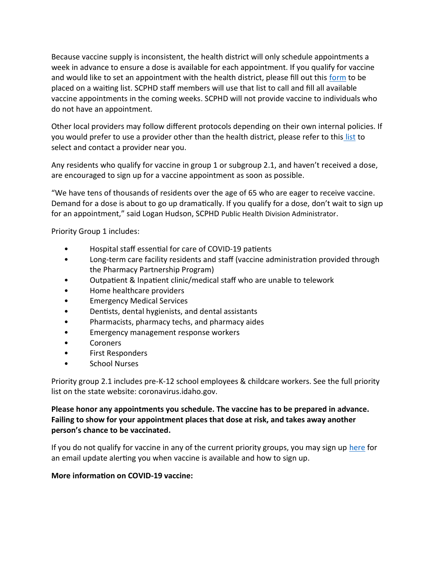Because vaccine supply is inconsistent, the health district will only schedule appointments a week in advance to ensure a dose is available for each appointment. If you qualify for vaccine and would like to set an appointment with the health district, please fill out this form to be placed on a waiƟng list. SCPHD staff members will use that list to call and fill all available vaccine appointments in the coming weeks. SCPHD will not provide vaccine to individuals who do not have an appointment.

Other local providers may follow different protocols depending on their own internal policies. If you would prefer to use a provider other than the health district, please refer to this list to select and contact a provider near you.

Any residents who qualify for vaccine in group 1 or subgroup 2.1, and haven't received a dose, are encouraged to sign up for a vaccine appointment as soon as possible.

"We have tens of thousands of residents over the age of 65 who are eager to receive vaccine. Demand for a dose is about to go up dramatically. If you qualify for a dose, don't wait to sign up for an appointment," said Logan Hudson, SCPHD Public Health Division Administrator.

Priority Group 1 includes:

- Hospital staff essential for care of COVID-19 patients
- Long-term care facility residents and staff (vaccine administration provided through the Pharmacy Partnership Program)
- Outpatient & Inpatient clinic/medical staff who are unable to telework
- Home healthcare providers
- Emergency Medical Services
- Dentists, dental hygienists, and dental assistants
- Pharmacists, pharmacy techs, and pharmacy aides
- Emergency management response workers
- Coroners
- First Responders
- School Nurses

Priority group 2.1 includes pre-K-12 school employees & childcare workers. See the full priority list on the state website: coronavirus.idaho.gov.

## Please honor any appointments you schedule. The vaccine has to be prepared in advance. Failing to show for your appointment places that dose at risk, and takes away another person's chance to be vaccinated.

If you do not qualify for vaccine in any of the current priority groups, you may sign up here for an email update alerting you when vaccine is available and how to sign up.

## More information on COVID-19 vaccine: